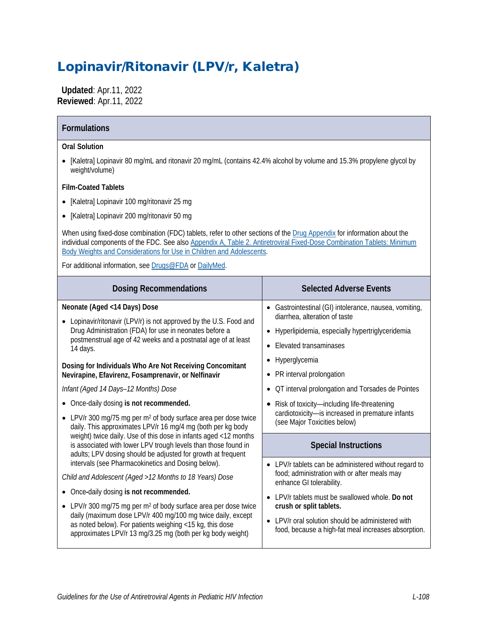# Lopinavir/Ritonavir (LPV/r, Kaletra)

 **Updated**: Apr.11, 2022 **Reviewed**: Apr.11, 2022

| <b>Formulations</b>                                                                                                                                                                                                                                                                                                                                                                                                                                                                                                                                                                                                                                                                                                                                                                                                                                                                                                                                                                                                                                                                                                                                                                                                     |                                                                                                                                                                                                                                                                                                                                                                                                                       |  |  |  |
|-------------------------------------------------------------------------------------------------------------------------------------------------------------------------------------------------------------------------------------------------------------------------------------------------------------------------------------------------------------------------------------------------------------------------------------------------------------------------------------------------------------------------------------------------------------------------------------------------------------------------------------------------------------------------------------------------------------------------------------------------------------------------------------------------------------------------------------------------------------------------------------------------------------------------------------------------------------------------------------------------------------------------------------------------------------------------------------------------------------------------------------------------------------------------------------------------------------------------|-----------------------------------------------------------------------------------------------------------------------------------------------------------------------------------------------------------------------------------------------------------------------------------------------------------------------------------------------------------------------------------------------------------------------|--|--|--|
| <b>Oral Solution</b><br>[Kaletra] Lopinavir 80 mg/mL and ritonavir 20 mg/mL (contains 42.4% alcohol by volume and 15.3% propylene glycol by<br>weight/volume)<br><b>Film-Coated Tablets</b><br>[Kaletra] Lopinavir 100 mg/ritonavir 25 mg<br>[Kaletra] Lopinavir 200 mg/ritonavir 50 mg<br>When using fixed-dose combination (FDC) tablets, refer to other sections of the Drug Appendix for information about the<br>individual components of the FDC. See also Appendix A, Table 2. Antiretroviral Fixed-Dose Combination Tablets: Minimum<br>Body Weights and Considerations for Use in Children and Adolescents.<br>For additional information, see Drugs@FDA or DailyMed.                                                                                                                                                                                                                                                                                                                                                                                                                                                                                                                                          |                                                                                                                                                                                                                                                                                                                                                                                                                       |  |  |  |
| <b>Dosing Recommendations</b>                                                                                                                                                                                                                                                                                                                                                                                                                                                                                                                                                                                                                                                                                                                                                                                                                                                                                                                                                                                                                                                                                                                                                                                           | <b>Selected Adverse Events</b>                                                                                                                                                                                                                                                                                                                                                                                        |  |  |  |
| Neonate (Aged <14 Days) Dose<br>Lopinavir/ritonavir (LPV/r) is not approved by the U.S. Food and<br>Drug Administration (FDA) for use in neonates before a<br>postmenstrual age of 42 weeks and a postnatal age of at least<br>14 days.<br>Dosing for Individuals Who Are Not Receiving Concomitant<br>Nevirapine, Efavirenz, Fosamprenavir, or Nelfinavir<br>Infant (Aged 14 Days-12 Months) Dose<br>Once-daily dosing is not recommended.<br>• LPV/r 300 mg/75 mg per m <sup>2</sup> of body surface area per dose twice<br>daily. This approximates LPV/r 16 mg/4 mg (both per kg body<br>weight) twice daily. Use of this dose in infants aged <12 months<br>is associated with lower LPV trough levels than those found in<br>adults; LPV dosing should be adjusted for growth at frequent<br>intervals (see Pharmacokinetics and Dosing below).<br>Child and Adolescent (Aged >12 Months to 18 Years) Dose<br>• Once-daily dosing is not recommended.<br>LPV/r 300 mg/75 mg per $m2$ of body surface area per dose twice<br>daily (maximum dose LPV/r 400 mg/100 mg twice daily, except<br>as noted below). For patients weighing <15 kg, this dose<br>approximates LPV/r 13 mg/3.25 mg (both per kg body weight) | • Gastrointestinal (GI) intolerance, nausea, vomiting,<br>diarrhea, alteration of taste<br>Hyperlipidemia, especially hypertriglyceridemia<br><b>Elevated transaminases</b><br>Hyperglycemia<br>• PR interval prolongation<br>• OT interval prolongation and Torsades de Pointes<br>• Risk of toxicity-including life-threatening<br>cardiotoxicity-is increased in premature infants<br>(see Major Toxicities below) |  |  |  |
|                                                                                                                                                                                                                                                                                                                                                                                                                                                                                                                                                                                                                                                                                                                                                                                                                                                                                                                                                                                                                                                                                                                                                                                                                         | <b>Special Instructions</b><br>LPV/r tablets can be administered without regard to<br>food; administration with or after meals may<br>enhance GI tolerability.<br>• LPV/r tablets must be swallowed whole. Do not<br>crush or split tablets.<br>• LPV/r oral solution should be administered with<br>food, because a high-fat meal increases absorption.                                                              |  |  |  |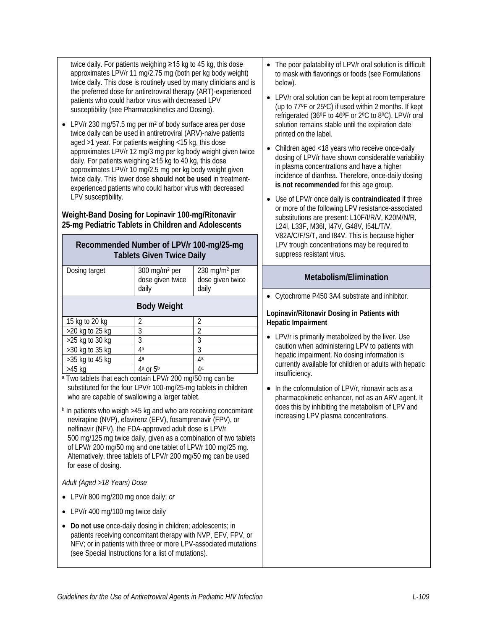twice daily. For patients weighing ≥15 kg to 45 kg, this dose approximates LPV/r 11 mg/2.75 mg (both per kg body weight) twice daily. This dose is routinely used by many clinicians and is the preferred dose for antiretroviral therapy (ART)-experienced patients who could harbor virus with decreased LPV susceptibility (see Pharmacokinetics and Dosing).

• LPV/r 230 mg/57.5 mg per m<sup>2</sup> of body surface area per dose twice daily can be used in antiretroviral (ARV)-naive patients aged >1 year. For patients weighing <15 kg, this dose approximates LPV/r 12 mg/3 mg per kg body weight given twice daily. For patients weighing ≥15 kg to 40 kg, this dose approximates LPV/r 10 mg/2.5 mg per kg body weight given twice daily. This lower dose **should not be used** in treatmentexperienced patients who could harbor virus with decreased LPV susceptibility.

#### **Weight-Band Dosing for Lopinavir 100-mg/Ritonavir 25-mg Pediatric Tablets in Children and Adolescents**

#### **Recommended Number of LPV/r 100-mg/25-mg Tablets Given Twice Daily**

| Dosing target                                                                                                                                                                                                                                                                                                                                                                                                                   | 300 mg/m <sup>2</sup> per<br>dose given twice<br>daily | 230 mg/m <sup>2</sup> per<br>dose given twice<br>daily          |
|---------------------------------------------------------------------------------------------------------------------------------------------------------------------------------------------------------------------------------------------------------------------------------------------------------------------------------------------------------------------------------------------------------------------------------|--------------------------------------------------------|-----------------------------------------------------------------|
|                                                                                                                                                                                                                                                                                                                                                                                                                                 | <b>Body Weight</b>                                     |                                                                 |
| 15 kg to 20 kg                                                                                                                                                                                                                                                                                                                                                                                                                  | 2                                                      | 2                                                               |
| >20 kg to 25 kg                                                                                                                                                                                                                                                                                                                                                                                                                 | $\overline{3}$                                         | $\overline{2}$                                                  |
| >25 kg to 30 kg                                                                                                                                                                                                                                                                                                                                                                                                                 | 3                                                      | 3                                                               |
| >30 kg to 35 kg                                                                                                                                                                                                                                                                                                                                                                                                                 | 4a                                                     | $\overline{3}$                                                  |
| >35 kg to 45 kg                                                                                                                                                                                                                                                                                                                                                                                                                 | 4a                                                     | 4a                                                              |
| $>45$ kg                                                                                                                                                                                                                                                                                                                                                                                                                        | 4 <sup>a</sup> or 5 <sup>b</sup>                       | 4a                                                              |
| <sup>b</sup> In patients who weigh >45 kg and who are receiving concomitant<br>nevirapine (NVP), efavirenz (EFV), fosamprenavir (FPV), or<br>nelfinavir (NFV), the FDA-approved adult dose is LPV/r<br>500 mg/125 mg twice daily, given as a combination of two tablets<br>of LPV/r 200 mg/50 mg and one tablet of LPV/r 100 mg/25 mg.<br>Alternatively, three tablets of LPV/r 200 mg/50 mg can be used<br>for ease of dosing. |                                                        |                                                                 |
| Adult (Aged >18 Years) Dose                                                                                                                                                                                                                                                                                                                                                                                                     |                                                        |                                                                 |
| LPV/r 800 mg/200 mg once daily; or                                                                                                                                                                                                                                                                                                                                                                                              |                                                        |                                                                 |
| LPV/r 400 mg/100 mg twice daily                                                                                                                                                                                                                                                                                                                                                                                                 |                                                        |                                                                 |
| Do not use once-daily dosing in children; adolescents; in<br>patients receiving concomitant therapy with NVP, EFV, FPV, or                                                                                                                                                                                                                                                                                                      |                                                        | NFV; or in patients with three or more LPV-associated mutations |

- The poor palatability of LPV/r oral solution is difficult to mask with flavorings or foods (see Formulations below).
- LPV/r oral solution can be kept at room temperature (up to 77ºF or 25ºC) if used within 2 months. If kept refrigerated (36ºF to 46ºF or 2ºC to 8ºC), LPV/r oral solution remains stable until the expiration date printed on the label.
- Children aged <18 years who receive once-daily dosing of LPV/r have shown considerable variability in plasma concentrations and have a higher incidence of diarrhea. Therefore, once-daily dosing **is not recommended** for this age group.
- Use of LPV/r once daily is **contraindicated** if three or more of the following LPV resistance-associated substitutions are present: L10F/I/R/V, K20M/N/R, L24I, L33F, M36I, I47V, G48V, I54L/T/V, V82A/C/F/S/T, and I84V. This is because higher LPV trough concentrations may be required to suppress resistant virus.

#### **Metabolism/Elimination**

• Cytochrome P450 3A4 substrate and inhibitor.

#### **Lopinavir/Ritonavir Dosing in Patients with Hepatic Impairment**

- LPV/r is primarily metabolized by the liver. Use caution when administering LPV to patients with hepatic impairment. No dosing information is currently available for children or adults with hepatic insufficiency.
- In the coformulation of LPV/r, ritonavir acts as a pharmacokinetic enhancer, not as an ARV agent. It does this by inhibiting the metabolism of LPV and increasing LPV plasma concentrations.

(see Special Instructions for a list of mutations).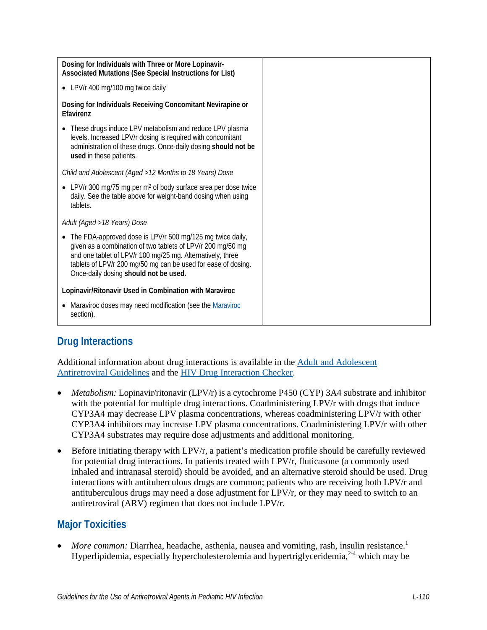| Dosing for Individuals with Three or More Lopinavir-<br>Associated Mutations (See Special Instructions for List)                                                                                                                                                                                              |
|---------------------------------------------------------------------------------------------------------------------------------------------------------------------------------------------------------------------------------------------------------------------------------------------------------------|
| • LPV/r 400 mg/100 mg twice daily                                                                                                                                                                                                                                                                             |
| Dosing for Individuals Receiving Concomitant Nevirapine or<br>Efavirenz                                                                                                                                                                                                                                       |
| These drugs induce LPV metabolism and reduce LPV plasma<br>levels. Increased LPV/r dosing is required with concomitant<br>administration of these drugs. Once-daily dosing should not be<br>used in these patients.                                                                                           |
| Child and Adolescent (Aged > 12 Months to 18 Years) Dose                                                                                                                                                                                                                                                      |
| • LPV/r 300 mg/75 mg per m <sup>2</sup> of body surface area per dose twice<br>daily. See the table above for weight-band dosing when using<br>tablets.                                                                                                                                                       |
| Adult (Aged >18 Years) Dose                                                                                                                                                                                                                                                                                   |
| The FDA-approved dose is LPV/r 500 mg/125 mg twice daily,<br>$\bullet$<br>given as a combination of two tablets of LPV/r 200 mg/50 mg<br>and one tablet of LPV/r 100 mg/25 mg. Alternatively, three<br>tablets of LPV/r 200 mg/50 mg can be used for ease of dosing.<br>Once-daily dosing should not be used. |
| Lopinavir/Ritonavir Used in Combination with Maraviroc                                                                                                                                                                                                                                                        |
| Maraviroc doses may need modification (see the Maraviroc<br>$\bullet$<br>section).                                                                                                                                                                                                                            |

# **Drug Interactions**

Additional information about drug interactions is available in the [Adult and Adolescent](https://clinicalinfo.hiv.gov/en/guidelines/adult-and-adolescent-arv/whats-new-guidelines)  [Antiretroviral Guidelines](https://clinicalinfo.hiv.gov/en/guidelines/adult-and-adolescent-arv/whats-new-guidelines) and the [HIV Drug Interaction Checker.](http://www.hiv-druginteractions.org/)

- *Metabolism:* Lopinavir/ritonavir (LPV/r) is a cytochrome P450 (CYP) 3A4 substrate and inhibitor with the potential for multiple drug interactions. Coadministering LPV/r with drugs that induce CYP3A4 may decrease LPV plasma concentrations, whereas coadministering LPV/r with other CYP3A4 inhibitors may increase LPV plasma concentrations. Coadministering LPV/r with other CYP3A4 substrates may require dose adjustments and additional monitoring.
- Before initiating therapy with LPV/r, a patient's medication profile should be carefully reviewed for potential drug interactions. In patients treated with LPV/r, fluticasone (a commonly used inhaled and intranasal steroid) should be avoided, and an alternative steroid should be used. Drug interactions with antituberculous drugs are common; patients who are receiving both LPV/r and antituberculous drugs may need a dose adjustment for LPV/r, or they may need to switch to an antiretroviral (ARV) regimen that does not include LPV/r.

# **Major Toxicities**

• *More common:* Diarrhea, headache, asthenia, nausea and vomiting, rash, insulin resistance[.](#page-8-0)<sup>1</sup> Hyperlipidemia, especially hypercholesterolemia and hypertriglyceridemia,  $2-4$  which may be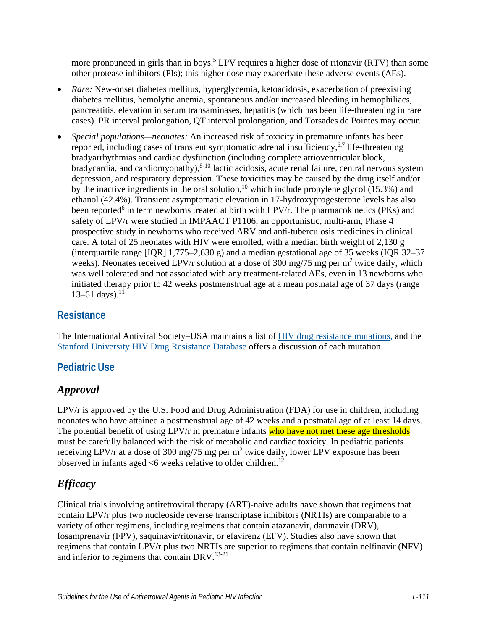more pronounced in girls than in boys.<sup>5</sup> LPV requires a higher dose of ritonavir (RTV) than some other protease inhibitors (PIs); this higher dose may exacerbate these adverse events (AEs).

- *Rare:* New-onset diabetes mellitus, hyperglycemia, ketoacidosis, exacerbation of preexisting diabetes mellitus, hemolytic anemia, spontaneous and/or increased bleeding in hemophiliacs, pancreatitis, elevation in serum transaminases, hepatitis (which has been life-threatening in rare cases). PR interval prolongation, QT interval prolongation, and Torsades de Pointes may occur.
- *Special populations—neonates:* An increased risk of toxicity in premature infants has been reported, including cases of transient symptomatic adrenal insufficiency,  $6,7$  $6,7$  life-threatening bradyarrhythmias and cardiac dysfunction (including complete atrioventricular block, bradycardia, and cardiomyopathy),  $8-10$  lactic acidosis, acute renal failure, central nervous system depression, and respiratory depression. These toxicities may be caused by the drug itself and/or by the inactive ingredients in the oral solution,<sup>10</sup> which include propylene glycol  $(15.3%)$  and ethanol (42.4%). Transient asymptomatic elevation in 17-hydroxyprogesterone levels has also been reported<sup>6</sup> in term newborns treated at birth with LPV/r. The pharmacokinetics (PKs) and safety of LPV/r were studied in IMPAACT P1106, an opportunistic, multi-arm, Phase 4 prospective study in newborns who received ARV and anti-tuberculosis medicines in clinical care. A total of 25 neonates with HIV were enrolled, with a median birth weight of 2,130 g (interquartile range [IQR] 1,775–2,630 g) and a median gestational age of 35 weeks (IQR 32–37 weeks). Neonates received LPV/r solution at a dose of 300 mg/75 mg per m<sup>2</sup> twice daily, which was well tolerated and not associated with any treatment-related AEs, even in 13 newborns who initiated therapy prior to 42 weeks postmenstrual age at a mean postnatal age of 37 days (range  $13-61$  days).<sup>11</sup>

#### **Resistance**

The International Antiviral Society–USA maintains a list of [HIV drug resistance mutations,](https://www.iasusa.org/resources/hiv-drug-resistance-mutations/) and the [Stanford University HIV Drug Resistance Database](http://hivdb.stanford.edu/DR/) offers a discussion of each mutation.

### **Pediatric Use**

### *Approval*

LPV/r is approved by the U.S. Food and Drug Administration (FDA) for use in children, including neonates who have attained a postmenstrual age of 42 weeks and a postnatal age of at least 14 days. The potential benefit of using LPV/r in premature infants who have not met these age thresholds must be carefully balanced with the risk of metabolic and cardiac toxicity. In pediatric patients receiving LPV/r at a dose of 300 mg/75 mg per m<sup>2</sup> twice daily, lower LPV exposure has been observed in infants aged  $\leq 6$  weeks relative to older children.<sup>[12](#page-9-1)</sup>

# *Efficacy*

Clinical trials involving antiretroviral therapy (ART)-naive adults have shown that regimens that contain LPV/r plus two nucleoside reverse transcriptase inhibitors (NRTIs) are comparable to a variety of other regimens, including regimens that contain atazanavir, darunavir (DRV), fosamprenavir (FPV), saquinavir/ritonavir, or efavirenz (EFV). Studies also have shown that regimens that contain LPV/r plus two NRTIs are superior to regimens that contain nelfinavir (NFV) and inferior to regimens that contain DRV.<sup>[13-21](#page-9-2)</sup>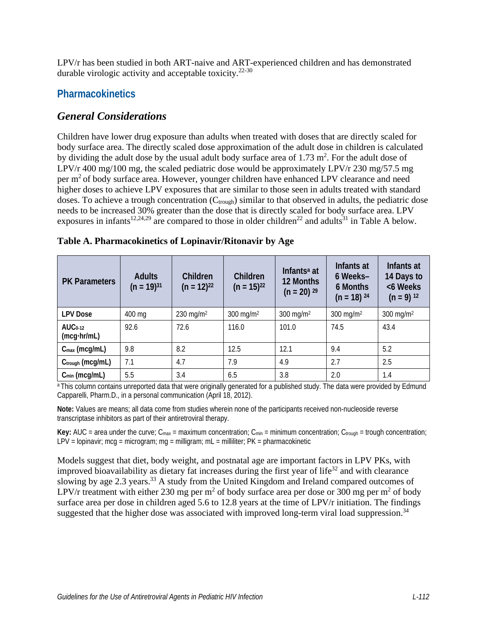LPV/r has been studied in both ART-naive and ART-experienced children and has demonstrated durable virologic activity and acceptable toxicity.<sup>[22-30](#page-10-0)</sup>

#### **Pharmacokinetics**

#### *General Considerations*

Children have lower drug exposure than adults when treated with doses that are directly scaled for body surface area. The directly scaled dose approximation of the adult dose in children is calculated by dividing the adult dose by the usual adult body surface area of  $1.73 \text{ m}^2$ . For the adult dose of LPV/r 400 mg/100 mg, the scaled pediatric dose would be approximately LPV/r 230 mg/57.5 mg per m<sup>2</sup> of body surface area. However, younger children have enhanced LPV clearance and need higher doses to achieve LPV exposures that are similar to those seen in adults treated with standard doses. To achieve a trough concentration  $(C_{\text{tough}})$  similar to that observed in adults, the pediatric dose needs to be increased 30% greater than the dose that is directly scaled for body surface area. LPV exposures in infants<sup>12,[24,](#page-10-1)[29](#page-10-2)</sup> are compared to those in older children<sup>22</sup> and adults<sup>31</sup> in Table A below.

| <b>PK Parameters</b>            | <b>Adults</b><br>$(n = 19)^{31}$ | Children<br>$(n = 12)^{22}$ | Children<br>$(n = 15)^{22}$ | Infants <sup>a</sup> at<br>12 Months<br>$(n = 20)$ 29 | Infants at<br>6 Weeks-<br>6 Months<br>$(n = 18)$ 24 | Infants at<br>14 Days to<br><6 Weeks<br>$(n = 9)$ 12 |
|---------------------------------|----------------------------------|-----------------------------|-----------------------------|-------------------------------------------------------|-----------------------------------------------------|------------------------------------------------------|
| <b>LPV Dose</b>                 | 400 mg                           | 230 mg/m <sup>2</sup>       | 300 mg/m <sup>2</sup>       | 300 mg/m <sup>2</sup>                                 | $300 \text{ mg/m}^2$                                | 300 mg/m $^2$                                        |
| $AUC0-12$<br>$(mcq\cdot hr/mL)$ | 92.6                             | 72.6                        | 116.0                       | 101.0                                                 | 74.5                                                | 43.4                                                 |
| $C_{\text{max}}$ (mcg/mL)       | 9.8                              | 8.2                         | 12.5                        | 12.1                                                  | 9.4                                                 | 5.2                                                  |
| Ctrough (mcg/mL)                | 7.1                              | 4.7                         | 7.9                         | 4.9                                                   | 2.7                                                 | 2.5                                                  |
| $C_{min}$ (mcg/mL)              | 5.5                              | 3.4                         | 6.5                         | 3.8                                                   | 2.0                                                 | 1.4                                                  |

|  |  |  |  |  | Table A. Pharmacokinetics of Lopinavir/Ritonavir by Age |
|--|--|--|--|--|---------------------------------------------------------|
|--|--|--|--|--|---------------------------------------------------------|

a This column contains unreported data that were originally generated for a published study. The data were provided by Edmund Capparelli, Pharm.D., in a personal communication (April 18, 2012).

**Note:** Values are means; all data come from studies wherein none of the participants received non-nucleoside reverse transcriptase inhibitors as part of their antiretroviral therapy.

**Key:** AUC = area under the curve;  $C_{\text{max}}$  = maximum concentration;  $C_{\text{min}}$  = minimum concentration;  $C_{\text{trough}}$  = trough concentration; LPV = lopinavir; mcg = microgram; mg = milligram; mL = milliliter; PK = pharmacokinetic

Models suggest that diet, body weight, and postnatal age are important factors in LPV PKs, with improved bioavailability as dietary fat increases during the first year of life<sup>32</sup> and with clearance slowing by age 2.3 years.<sup>33</sup> A study from the United Kingdom and Ireland compared outcomes of LPV/r treatment with either 230 mg per m<sup>2</sup> of body surface area per dose or 300 mg per m<sup>2</sup> of body surface area per dose in children aged 5.6 to 12.8 years at the time of LPV/r initiation. The findings suggested that the higher dose was associated with improved long-term viral load suppression.<sup>34</sup>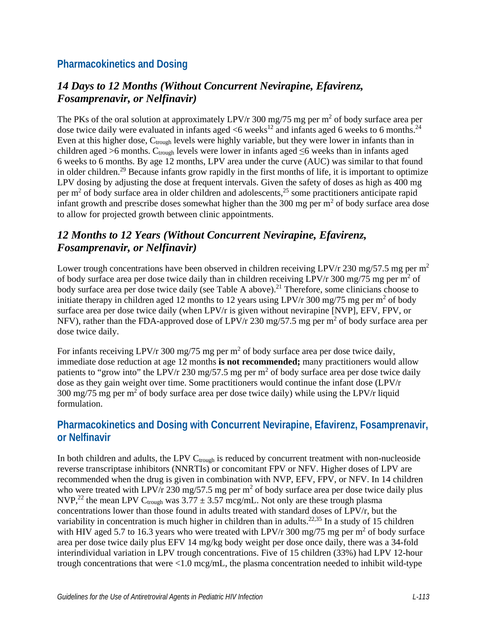#### **Pharmacokinetics and Dosing**

## *14 Days to 12 Months (Without Concurrent Nevirapine, Efavirenz, Fosamprenavir, or Nelfinavir)*

The PKs of the oral solution at approximately LPV/r 300 mg/75 mg per  $m<sup>2</sup>$  of body surface area per dose twice daily were evaluated in infants aged  $\leq 6$  weeks<sup>12</sup> and infants aged 6 weeks to 6 months.<sup>24</sup> Even at this higher dose,  $C_{\text{trough}}$  levels were highly variable, but they were lower in infants than in children aged >6 months. C<sub>trough</sub> levels were lower in infants aged  $\leq$ 6 weeks than in infants aged 6 weeks to 6 months. By age 12 months, LPV area under the curve (AUC) was similar to that found in older children.<sup>29</sup> Because infants grow rapidly in the first months of life, it is important to optimize LPV dosing by adjusting the dose at frequent intervals. Given the safety of doses as high as 400 mg per m<sup>2</sup> of body surface area in older children and adolescents,<sup>25</sup> some practitioners anticipate rapid infant growth and prescribe doses somewhat higher than the 300 mg per  $m<sup>2</sup>$  of body surface area dose to allow for projected growth between clinic appointments.

# *12 Months to 12 Years (Without Concurrent Nevirapine, Efavirenz, Fosamprenavir, or Nelfinavir)*

Lower trough concentrations have been observed in children receiving LPV/r 230 mg/57.5 mg per m<sup>2</sup> of body surface area per dose twice daily than in children receiving LPV/r 300 mg/75 mg per m<sup>2</sup> of body surface area per dose twice daily (see Table A above).<sup>21</sup> Therefore, some clinicians choose to initiate therapy in children aged 12 months to 12 years using LPV/r 300 mg/75 mg per m<sup>2</sup> of body surface area per dose twice daily (when LPV/r is given without nevirapine [NVP], EFV, FPV, or NFV), rather than the FDA-approved dose of LPV/r 230 mg/57.5 mg per m<sup>2</sup> of body surface area per dose twice daily.

For infants receiving LPV/r 300 mg/75 mg per m<sup>2</sup> of body surface area per dose twice daily, immediate dose reduction at age 12 months **is not recommended;** many practitioners would allow patients to "grow into" the LPV/r 230 mg/57.5 mg per  $m^2$  of body surface area per dose twice daily dose as they gain weight over time. Some practitioners would continue the infant dose (LPV/r 300 mg/75 mg per m<sup>2</sup> of body surface area per dose twice daily) while using the LPV/r liquid formulation.

## **Pharmacokinetics and Dosing with Concurrent Nevirapine, Efavirenz, Fosamprenavir, or Nelfinavir**

In both children and adults, the LPV  $C_{trough}$  is reduced by concurrent treatment with non-nucleoside reverse transcriptase inhibitors (NNRTIs) or concomitant FPV or NFV. Higher doses of LPV are recommended when the drug is given in combination with NVP, EFV, FPV, or NFV. In 14 children who were treated with LPV/r 230 mg/57.5 mg per  $m<sup>2</sup>$  of body surface area per dose twice daily plus NVP,<sup>[22](#page-10-0)</sup> the mean LPV C<sub>trough</sub> was  $3.77 \pm 3.57$  mcg/mL. Not only are these trough plasma concentrations lower than those found in adults treated with standard doses of LPV/r, but the variability in concentration is much higher in children than in adults.<sup>22,[35](#page-11-4)</sup> In a study of 15 children with HIV aged 5.7 to 16.3 years who were treated with LPV/r 300 mg/75 mg per  $m<sup>2</sup>$  of body surface area per dose twice daily plus EFV 14 mg/kg body weight per dose once daily, there was a 34-fold interindividual variation in LPV trough concentrations. Five of 15 children (33%) had LPV 12-hour trough concentrations that were <1.0 mcg/mL, the plasma concentration needed to inhibit wild-type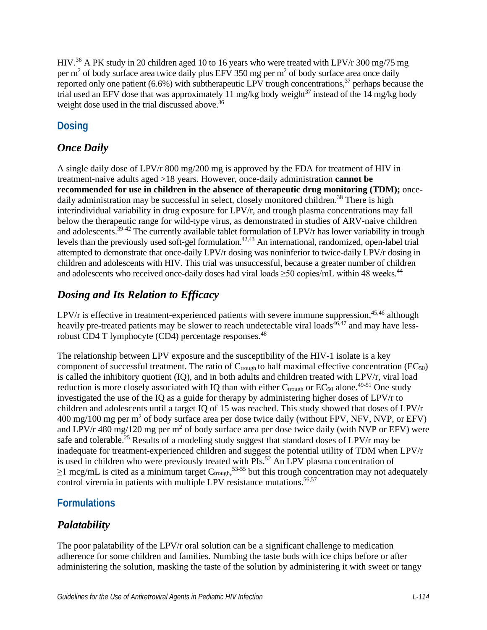HIV.<sup>36</sup> A PK study in 20 children aged 10 to 16 years who were treated with LPV/r 300 mg/75 mg per  $m<sup>2</sup>$  of body surface area twice daily plus EFV 350 mg per  $m<sup>2</sup>$  of body surface area once daily reported only one patient  $(6.6\%)$  with subtherapeutic LPV trough concentrations,  $37$  perhaps because the trial used an EFV dose that was approximately 11 mg/kg body weight $^{37}$  instead of the 14 mg/kg body weight dose used in the trial discussed above.<sup>[36](#page-11-5)</sup>

# **Dosing**

# *Once Daily*

A single daily dose of LPV/r 800 mg/200 mg is approved by the FDA for treatment of HIV in treatment-naive adults aged >18 years. However, once-daily administration **cannot be recommended for use in children in the absence of therapeutic drug monitoring (TDM);** oncedaily administration may be successful in select, closely monitored children.<sup>38</sup> There is high interindividual variability in drug exposure for LPV/r, and trough plasma concentrations may fall below the therapeutic range for wild-type virus, as demonstrated in studies of ARV-naive children and adolescents.<sup>39-42</sup> The currently available tablet formulation of LPV/r has lower variability in trough levels than the previously used soft-gel formulation.<sup>42[,43](#page-12-1)</sup> An international, randomized, open-label trial attempted to demonstrate that once-daily LPV/r dosing was noninferior to twice-daily LPV/r dosing in children and adolescents with HIV. This trial was unsuccessful, because a greater number of children and adolescents who received once-daily doses had viral loads ≥50 copies/mL within 48 weeks.<sup>[44](#page-12-2)</sup>

# *Dosing and Its Relation to Efficacy*

LPV/ $r$  is effective in treatment-experienced patients with severe immune suppression,  $45,46$  $45,46$  although heavily pre-treated patients may be slower to reach undetectable viral loads  $46,47$  and may have less-robust CD4 T lymphocyte (CD4) percentage responses.<sup>[48](#page-12-6)</sup>

The relationship between LPV exposure and the susceptibility of the HIV-1 isolate is a key component of successful treatment. The ratio of  $C_{\text{trough}}$  to half maximal effective concentration (EC<sub>50</sub>) is called the inhibitory quotient (IQ), and in both adults and children treated with LPV/r, viral load reduction is more closely associated with IQ than with either  $C_{\text{trough}}$  or  $EC_{50}$  alone.<sup>49-51</sup> One study investigated the use of the IQ as a guide for therapy by administering higher doses of LPV/r to children and adolescents until a target IQ of 15 was reached. This study showed that doses of LPV/r  $400 \text{ mg}/100 \text{ mg}$  per m<sup>2</sup> of body surface area per dose twice daily (without FPV, NFV, NVP, or EFV) and LPV/r 480 mg/120 mg per m<sup>2</sup> of body surface area per dose twice daily (with NVP or EFV) were safe and tolerable.<sup>25</sup> Results of a modeling study suggest that standard doses of  $LPV/r$  may be inadequate for treatment-experienced children and suggest the potential utility of TDM when LPV/r is used in children who were previously treated with PIs.<sup>52</sup> An LPV plasma concentration of  $\geq$ 1 mcg/mL is cited as a minimum target C<sub>trough</sub>,<sup>53-55</sup> but this trough concentration may not adequately control viremia in patients with multiple LPV resistance mutations.<sup>56[,57](#page-13-2)</sup>

# **Formulations**

# *Palatability*

The poor palatability of the LPV/r oral solution can be a significant challenge to medication adherence for some children and families. Numbing the taste buds with ice chips before or after administering the solution, masking the taste of the solution by administering it with sweet or tangy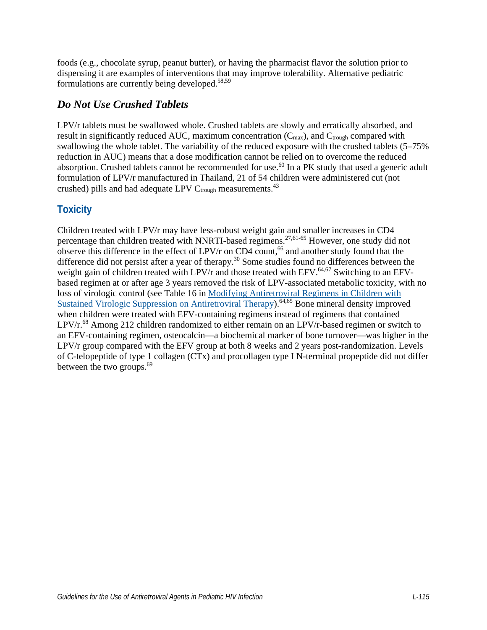foods (e.g., chocolate syrup, peanut butter), or having the pharmacist flavor the solution prior to dispensing it are examples of interventions that may improve tolerability. Alternative pediatric formulations are currently being developed.<sup>58[,59](#page-13-4)</sup>

### *Do Not Use Crushed Tablets*

LPV/r tablets must be swallowed whole. Crushed tablets are slowly and erratically absorbed, and result in significantly reduced AUC, maximum concentration  $(C_{\text{max}})$ , and  $C_{\text{trough}}$  compared with swallowing the whole tablet. The variability of the reduced exposure with the crushed tablets (5–75% reduction in AUC) means that a dose modification cannot be relied on to overcome the reduced absorption. Crushed tablets cannot be recommended for use.<sup>60</sup> In a PK study that used a generic adult formulation of LPV/r manufactured in Thailand, 21 of 54 children were administered cut (not crushed) pills and had adequate LPV  $C_{trough}$  measurements.<sup>43</sup>

# **Toxicity**

Children treated with LPV/r may have less-robust weight gain and smaller increases in CD4 percentage than children treated with NNRTI-based regimens.<sup>[27,](#page-10-5)61-65</sup> However, one study did not observe this difference in the effect of  $LPV/r$  on  $CD4$  count,<sup>66</sup> and another study found that the difference did not persist after a year of therapy.<sup>30</sup> Some studies found no differences between the weight gain of children treated with LPV/r and those treated with EFV.<sup>[64](#page-14-1),67</sup> Switching to an EFVbased regimen at or after age 3 years removed the risk of LPV-associated metabolic toxicity, with no loss of virologic control (see Table 16 i[n Modifying Antiretroviral Regimens in Children with](https://clinicalinfo.hiv.gov/en/guidelines/pediatric-arv/modifying-antiretroviral-regimens-children-sustained-virologic-suppression)  [Sustained Virologic Suppression on Antiretroviral Therapy\)](https://clinicalinfo.hiv.gov/en/guidelines/pediatric-arv/modifying-antiretroviral-regimens-children-sustained-virologic-suppression).<sup>64,65</sup> Bone mineral density improved when children were treated with EFV-containing regimens instead of regimens that contained LPV/r.<sup>68</sup> Among 212 children randomized to either remain on an LPV/r-based regimen or switch to an EFV-containing regimen, osteocalcin—a biochemical marker of bone turnover—was higher in the LPV/r group compared with the EFV group at both 8 weeks and 2 years post-randomization. Levels of C-telopeptide of type 1 collagen (CTx) and procollagen type I N-terminal propeptide did not differ between the two groups.<sup>69</sup>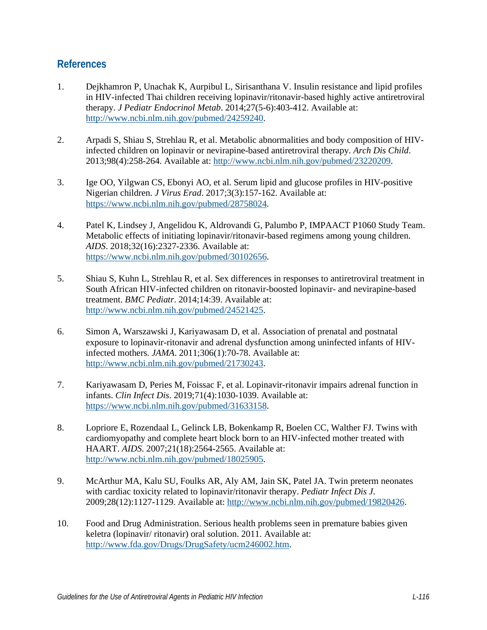#### **References**

- <span id="page-8-0"></span>1. Dejkhamron P, Unachak K, Aurpibul L, Sirisanthana V. Insulin resistance and lipid profiles in HIV-infected Thai children receiving lopinavir/ritonavir-based highly active antiretroviral therapy. *J Pediatr Endocrinol Metab*. 2014;27(5-6):403-412. Available at: [http://www.ncbi.nlm.nih.gov/pubmed/24259240.](http://www.ncbi.nlm.nih.gov/pubmed/24259240)
- <span id="page-8-1"></span>2. Arpadi S, Shiau S, Strehlau R, et al. Metabolic abnormalities and body composition of HIVinfected children on lopinavir or nevirapine-based antiretroviral therapy. *Arch Dis Child*. 2013;98(4):258-264. Available at: [http://www.ncbi.nlm.nih.gov/pubmed/23220209.](http://www.ncbi.nlm.nih.gov/pubmed/23220209)
- 3. Ige OO, Yilgwan CS, Ebonyi AO, et al. Serum lipid and glucose profiles in HIV-positive Nigerian children. *J Virus Erad*. 2017;3(3):157-162. Available at: [https://www.ncbi.nlm.nih.gov/pubmed/28758024.](https://www.ncbi.nlm.nih.gov/pubmed/28758024)
- 4. Patel K, Lindsey J, Angelidou K, Aldrovandi G, Palumbo P, IMPAACT P1060 Study Team. Metabolic effects of initiating lopinavir/ritonavir-based regimens among young children. *AIDS*. 2018;32(16):2327-2336. Available at: [https://www.ncbi.nlm.nih.gov/pubmed/30102656.](https://www.ncbi.nlm.nih.gov/pubmed/30102656)
- <span id="page-8-2"></span>5. Shiau S, Kuhn L, Strehlau R, et al. Sex differences in responses to antiretroviral treatment in South African HIV-infected children on ritonavir-boosted lopinavir- and nevirapine-based treatment. *BMC Pediatr*. 2014;14:39. Available at: [http://www.ncbi.nlm.nih.gov/pubmed/24521425.](http://www.ncbi.nlm.nih.gov/pubmed/24521425)
- <span id="page-8-3"></span>6. Simon A, Warszawski J, Kariyawasam D, et al. Association of prenatal and postnatal exposure to lopinavir-ritonavir and adrenal dysfunction among uninfected infants of HIVinfected mothers. *JAMA*. 2011;306(1):70-78. Available at: [http://www.ncbi.nlm.nih.gov/pubmed/21730243.](http://www.ncbi.nlm.nih.gov/pubmed/21730243)
- <span id="page-8-4"></span>7. Kariyawasam D, Peries M, Foissac F, et al. Lopinavir-ritonavir impairs adrenal function in infants. *Clin Infect Dis*. 2019;71(4):1030-1039. Available at: [https://www.ncbi.nlm.nih.gov/pubmed/31633158.](https://www.ncbi.nlm.nih.gov/pubmed/31633158)
- <span id="page-8-5"></span>8. Lopriore E, Rozendaal L, Gelinck LB, Bokenkamp R, Boelen CC, Walther FJ. Twins with cardiomyopathy and complete heart block born to an HIV-infected mother treated with HAART. *AIDS*. 2007;21(18):2564-2565. Available at: [http://www.ncbi.nlm.nih.gov/pubmed/18025905.](http://www.ncbi.nlm.nih.gov/pubmed/18025905)
- 9. McArthur MA, Kalu SU, Foulks AR, Aly AM, Jain SK, Patel JA. Twin preterm neonates with cardiac toxicity related to lopinavir/ritonavir therapy. *Pediatr Infect Dis J*. 2009;28(12):1127-1129. Available at: [http://www.ncbi.nlm.nih.gov/pubmed/19820426.](http://www.ncbi.nlm.nih.gov/pubmed/19820426)
- <span id="page-8-6"></span>10. Food and Drug Administration. Serious health problems seen in premature babies given keletra (lopinavir/ ritonavir) oral solution. 2011. Available at: [http://www.fda.gov/Drugs/DrugSafety/ucm246002.htm.](http://www.fda.gov/Drugs/DrugSafety/ucm246002.htm)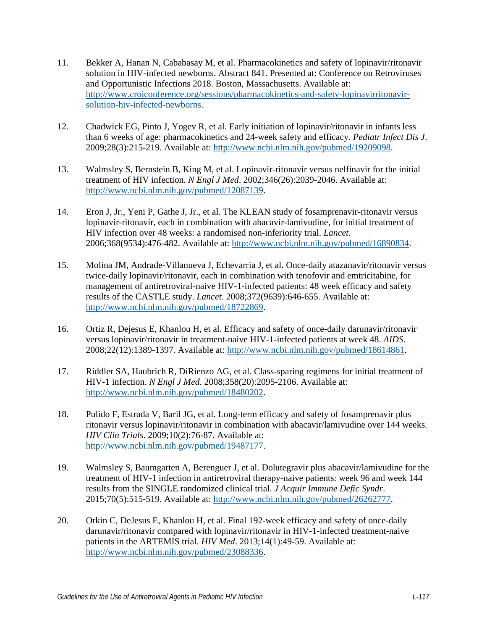- <span id="page-9-0"></span>11. Bekker A, Hanan N, Cababasay M, et al. Pharmacokinetics and safety of lopinavir/ritonavir solution in HIV-infected newborns. Abstract 841. Presented at: Conference on Retroviruses and Opportunistic Infections 2018. Boston, Massachusetts. Available at: [http://www.croiconference.org/sessions/pharmacokinetics-and-safety-lopinavirritonavir](http://www.croiconference.org/sessions/pharmacokinetics-and-safety-lopinavirritonavir-solution-hiv-infected-newborns)[solution-hiv-infected-newborns.](http://www.croiconference.org/sessions/pharmacokinetics-and-safety-lopinavirritonavir-solution-hiv-infected-newborns)
- <span id="page-9-1"></span>12. Chadwick EG, Pinto J, Yogev R, et al. Early initiation of lopinavir/ritonavir in infants less than 6 weeks of age: pharmacokinetics and 24-week safety and efficacy. *Pediatr Infect Dis J*. 2009;28(3):215-219. Available at: [http://www.ncbi.nlm.nih.gov/pubmed/19209098.](http://www.ncbi.nlm.nih.gov/pubmed/19209098)
- <span id="page-9-2"></span>13. Walmsley S, Bernstein B, King M, et al. Lopinavir-ritonavir versus nelfinavir for the initial treatment of HIV infection. *N Engl J Med*. 2002;346(26):2039-2046. Available at: [http://www.ncbi.nlm.nih.gov/pubmed/12087139.](http://www.ncbi.nlm.nih.gov/pubmed/12087139)
- 14. Eron J, Jr., Yeni P, Gathe J, Jr., et al. The KLEAN study of fosamprenavir-ritonavir versus lopinavir-ritonavir, each in combination with abacavir-lamivudine, for initial treatment of HIV infection over 48 weeks: a randomised non-inferiority trial. *Lancet*. 2006;368(9534):476-482. Available at: [http://www.ncbi.nlm.nih.gov/pubmed/16890834.](http://www.ncbi.nlm.nih.gov/pubmed/16890834)
- 15. Molina JM, Andrade-Villanueva J, Echevarria J, et al. Once-daily atazanavir/ritonavir versus twice-daily lopinavir/ritonavir, each in combination with tenofovir and emtricitabine, for management of antiretroviral-naive HIV-1-infected patients: 48 week efficacy and safety results of the CASTLE study. *Lancet*. 2008;372(9639):646-655. Available at: [http://www.ncbi.nlm.nih.gov/pubmed/18722869.](http://www.ncbi.nlm.nih.gov/pubmed/18722869)
- 16. Ortiz R, Dejesus E, Khanlou H, et al. Efficacy and safety of once-daily darunavir/ritonavir versus lopinavir/ritonavir in treatment-naive HIV-1-infected patients at week 48. *AIDS*. 2008;22(12):1389-1397. Available at: [http://www.ncbi.nlm.nih.gov/pubmed/18614861.](http://www.ncbi.nlm.nih.gov/pubmed/18614861)
- 17. Riddler SA, Haubrich R, DiRienzo AG, et al. Class-sparing regimens for initial treatment of HIV-1 infection. *N Engl J Med*. 2008;358(20):2095-2106. Available at: [http://www.ncbi.nlm.nih.gov/pubmed/18480202.](http://www.ncbi.nlm.nih.gov/pubmed/18480202)
- 18. Pulido F, Estrada V, Baril JG, et al. Long-term efficacy and safety of fosamprenavir plus ritonavir versus lopinavir/ritonavir in combination with abacavir/lamivudine over 144 weeks. *HIV Clin Trials*. 2009;10(2):76-87. Available at: [http://www.ncbi.nlm.nih.gov/pubmed/19487177.](http://www.ncbi.nlm.nih.gov/pubmed/19487177)
- 19. Walmsley S, Baumgarten A, Berenguer J, et al. Dolutegravir plus abacavir/lamivudine for the treatment of HIV-1 infection in antiretroviral therapy-naive patients: week 96 and week 144 results from the SINGLE randomized clinical trial. *J Acquir Immune Defic Syndr*. 2015;70(5):515-519. Available at: [http://www.ncbi.nlm.nih.gov/pubmed/26262777.](http://www.ncbi.nlm.nih.gov/pubmed/26262777)
- 20. Orkin C, DeJesus E, Khanlou H, et al. Final 192-week efficacy and safety of once-daily darunavir/ritonavir compared with lopinavir/ritonavir in HIV-1-infected treatment-naive patients in the ARTEMIS trial. *HIV Med*. 2013;14(1):49-59. Available at: [http://www.ncbi.nlm.nih.gov/pubmed/23088336.](http://www.ncbi.nlm.nih.gov/pubmed/23088336)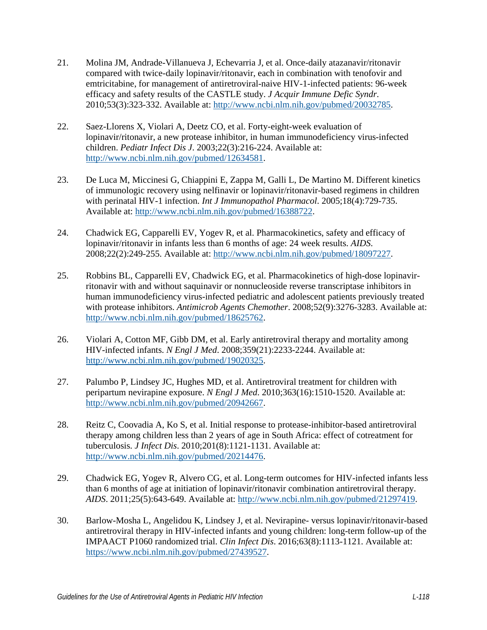- <span id="page-10-4"></span>21. Molina JM, Andrade-Villanueva J, Echevarria J, et al. Once-daily atazanavir/ritonavir compared with twice-daily lopinavir/ritonavir, each in combination with tenofovir and emtricitabine, for management of antiretroviral-naive HIV-1-infected patients: 96-week efficacy and safety results of the CASTLE study. *J Acquir Immune Defic Syndr*. 2010;53(3):323-332. Available at: [http://www.ncbi.nlm.nih.gov/pubmed/20032785.](http://www.ncbi.nlm.nih.gov/pubmed/20032785)
- <span id="page-10-0"></span>22. Saez-Llorens X, Violari A, Deetz CO, et al. Forty-eight-week evaluation of lopinavir/ritonavir, a new protease inhibitor, in human immunodeficiency virus-infected children. *Pediatr Infect Dis J*. 2003;22(3):216-224. Available at: [http://www.ncbi.nlm.nih.gov/pubmed/12634581.](http://www.ncbi.nlm.nih.gov/pubmed/12634581)
- 23. De Luca M, Miccinesi G, Chiappini E, Zappa M, Galli L, De Martino M. Different kinetics of immunologic recovery using nelfinavir or lopinavir/ritonavir-based regimens in children with perinatal HIV-1 infection. *Int J Immunopathol Pharmacol*. 2005;18(4):729-735. Available at: [http://www.ncbi.nlm.nih.gov/pubmed/16388722.](http://www.ncbi.nlm.nih.gov/pubmed/16388722)
- <span id="page-10-1"></span>24. Chadwick EG, Capparelli EV, Yogev R, et al. Pharmacokinetics, safety and efficacy of lopinavir/ritonavir in infants less than 6 months of age: 24 week results. *AIDS*. 2008;22(2):249-255. Available at: [http://www.ncbi.nlm.nih.gov/pubmed/18097227.](http://www.ncbi.nlm.nih.gov/pubmed/18097227)
- <span id="page-10-3"></span>25. Robbins BL, Capparelli EV, Chadwick EG, et al. Pharmacokinetics of high-dose lopinavirritonavir with and without saquinavir or nonnucleoside reverse transcriptase inhibitors in human immunodeficiency virus-infected pediatric and adolescent patients previously treated with protease inhibitors. *Antimicrob Agents Chemother*. 2008;52(9):3276-3283. Available at: [http://www.ncbi.nlm.nih.gov/pubmed/18625762.](http://www.ncbi.nlm.nih.gov/pubmed/18625762)
- 26. Violari A, Cotton MF, Gibb DM, et al. Early antiretroviral therapy and mortality among HIV-infected infants. *N Engl J Med*. 2008;359(21):2233-2244. Available at: [http://www.ncbi.nlm.nih.gov/pubmed/19020325.](http://www.ncbi.nlm.nih.gov/pubmed/19020325)
- <span id="page-10-5"></span>27. Palumbo P, Lindsey JC, Hughes MD, et al. Antiretroviral treatment for children with peripartum nevirapine exposure. *N Engl J Med*. 2010;363(16):1510-1520. Available at: [http://www.ncbi.nlm.nih.gov/pubmed/20942667.](http://www.ncbi.nlm.nih.gov/pubmed/20942667)
- 28. Reitz C, Coovadia A, Ko S, et al. Initial response to protease-inhibitor-based antiretroviral therapy among children less than 2 years of age in South Africa: effect of cotreatment for tuberculosis. *J Infect Dis*. 2010;201(8):1121-1131. Available at: [http://www.ncbi.nlm.nih.gov/pubmed/20214476.](http://www.ncbi.nlm.nih.gov/pubmed/20214476)
- <span id="page-10-2"></span>29. Chadwick EG, Yogev R, Alvero CG, et al. Long-term outcomes for HIV-infected infants less than 6 months of age at initiation of lopinavir/ritonavir combination antiretroviral therapy. *AIDS*. 2011;25(5):643-649. Available at: [http://www.ncbi.nlm.nih.gov/pubmed/21297419.](http://www.ncbi.nlm.nih.gov/pubmed/21297419)
- <span id="page-10-6"></span>30. Barlow-Mosha L, Angelidou K, Lindsey J, et al. Nevirapine- versus lopinavir/ritonavir-based antiretroviral therapy in HIV-infected infants and young children: long-term follow-up of the IMPAACT P1060 randomized trial. *Clin Infect Dis*. 2016;63(8):1113-1121. Available at: [https://www.ncbi.nlm.nih.gov/pubmed/27439527.](https://www.ncbi.nlm.nih.gov/pubmed/27439527)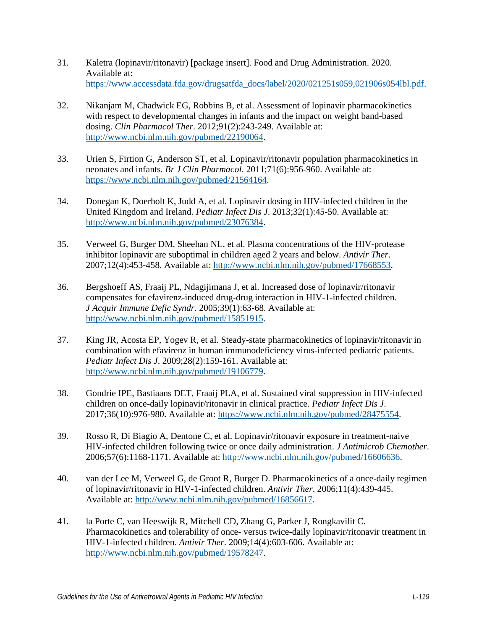- <span id="page-11-0"></span>31. Kaletra (lopinavir/ritonavir) [package insert]. Food and Drug Administration. 2020. Available at: [https://www.accessdata.fda.gov/drugsatfda\\_docs/label/2020/021251s059,021906s054lbl.pdf.](https://www.accessdata.fda.gov/drugsatfda_docs/label/2020/021251s059,021906s054lbl.pdf)
- <span id="page-11-1"></span>32. Nikanjam M, Chadwick EG, Robbins B, et al. Assessment of lopinavir pharmacokinetics with respect to developmental changes in infants and the impact on weight band-based dosing. *Clin Pharmacol Ther*. 2012;91(2):243-249. Available at: [http://www.ncbi.nlm.nih.gov/pubmed/22190064.](http://www.ncbi.nlm.nih.gov/pubmed/22190064)
- <span id="page-11-2"></span>33. Urien S, Firtion G, Anderson ST, et al. Lopinavir/ritonavir population pharmacokinetics in neonates and infants. *Br J Clin Pharmacol*. 2011;71(6):956-960. Available at: [https://www.ncbi.nlm.nih.gov/pubmed/21564164.](https://www.ncbi.nlm.nih.gov/pubmed/21564164)
- <span id="page-11-3"></span>34. Donegan K, Doerholt K, Judd A, et al. Lopinavir dosing in HIV-infected children in the United Kingdom and Ireland. *Pediatr Infect Dis J*. 2013;32(1):45-50. Available at: [http://www.ncbi.nlm.nih.gov/pubmed/23076384.](http://www.ncbi.nlm.nih.gov/pubmed/23076384)
- <span id="page-11-4"></span>35. Verweel G, Burger DM, Sheehan NL, et al. Plasma concentrations of the HIV-protease inhibitor lopinavir are suboptimal in children aged 2 years and below. *Antivir Ther*. 2007;12(4):453-458. Available at: [http://www.ncbi.nlm.nih.gov/pubmed/17668553.](http://www.ncbi.nlm.nih.gov/pubmed/17668553)
- <span id="page-11-5"></span>36. Bergshoeff AS, Fraaij PL, Ndagijimana J, et al. Increased dose of lopinavir/ritonavir compensates for efavirenz-induced drug-drug interaction in HIV-1-infected children. *J Acquir Immune Defic Syndr*. 2005;39(1):63-68. Available at: [http://www.ncbi.nlm.nih.gov/pubmed/15851915.](http://www.ncbi.nlm.nih.gov/pubmed/15851915)
- <span id="page-11-6"></span>37. King JR, Acosta EP, Yogev R, et al. Steady-state pharmacokinetics of lopinavir/ritonavir in combination with efavirenz in human immunodeficiency virus-infected pediatric patients. *Pediatr Infect Dis J*. 2009;28(2):159-161. Available at: [http://www.ncbi.nlm.nih.gov/pubmed/19106779.](http://www.ncbi.nlm.nih.gov/pubmed/19106779)
- <span id="page-11-7"></span>38. Gondrie IPE, Bastiaans DET, Fraaij PLA, et al. Sustained viral suppression in HIV-infected children on once-daily lopinavir/ritonavir in clinical practice. *Pediatr Infect Dis J*. 2017;36(10):976-980. Available at: [https://www.ncbi.nlm.nih.gov/pubmed/28475554.](https://www.ncbi.nlm.nih.gov/pubmed/28475554)
- <span id="page-11-8"></span>39. Rosso R, Di Biagio A, Dentone C, et al. Lopinavir/ritonavir exposure in treatment-naive HIV-infected children following twice or once daily administration. *J Antimicrob Chemother*. 2006;57(6):1168-1171. Available at: [http://www.ncbi.nlm.nih.gov/pubmed/16606636.](http://www.ncbi.nlm.nih.gov/pubmed/16606636)
- 40. van der Lee M, Verweel G, de Groot R, Burger D. Pharmacokinetics of a once-daily regimen of lopinavir/ritonavir in HIV-1-infected children. *Antivir Ther*. 2006;11(4):439-445. Available at: [http://www.ncbi.nlm.nih.gov/pubmed/16856617.](http://www.ncbi.nlm.nih.gov/pubmed/16856617)
- 41. la Porte C, van Heeswijk R, Mitchell CD, Zhang G, Parker J, Rongkavilit C. Pharmacokinetics and tolerability of once- versus twice-daily lopinavir/ritonavir treatment in HIV-1-infected children. *Antivir Ther*. 2009;14(4):603-606. Available at: [http://www.ncbi.nlm.nih.gov/pubmed/19578247.](http://www.ncbi.nlm.nih.gov/pubmed/19578247)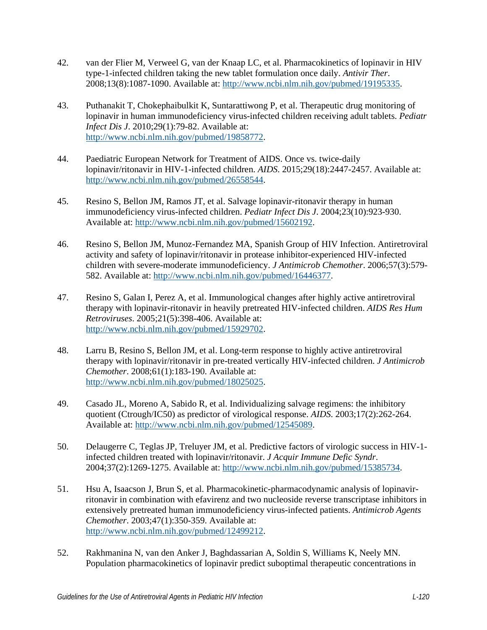- <span id="page-12-0"></span>42. van der Flier M, Verweel G, van der Knaap LC, et al. Pharmacokinetics of lopinavir in HIV type-1-infected children taking the new tablet formulation once daily. *Antivir Ther*. 2008;13(8):1087-1090. Available at: [http://www.ncbi.nlm.nih.gov/pubmed/19195335.](http://www.ncbi.nlm.nih.gov/pubmed/19195335)
- <span id="page-12-1"></span>43. Puthanakit T, Chokephaibulkit K, Suntarattiwong P, et al. Therapeutic drug monitoring of lopinavir in human immunodeficiency virus-infected children receiving adult tablets. *Pediatr Infect Dis J*. 2010;29(1):79-82. Available at: [http://www.ncbi.nlm.nih.gov/pubmed/19858772.](http://www.ncbi.nlm.nih.gov/pubmed/19858772)
- <span id="page-12-2"></span>44. Paediatric European Network for Treatment of AIDS. Once vs. twice-daily lopinavir/ritonavir in HIV-1-infected children. *AIDS*. 2015;29(18):2447-2457. Available at: [http://www.ncbi.nlm.nih.gov/pubmed/26558544.](http://www.ncbi.nlm.nih.gov/pubmed/26558544)
- <span id="page-12-3"></span>45. Resino S, Bellon JM, Ramos JT, et al. Salvage lopinavir-ritonavir therapy in human immunodeficiency virus-infected children. *Pediatr Infect Dis J*. 2004;23(10):923-930. Available at: [http://www.ncbi.nlm.nih.gov/pubmed/15602192.](http://www.ncbi.nlm.nih.gov/pubmed/15602192)
- <span id="page-12-4"></span>46. Resino S, Bellon JM, Munoz-Fernandez MA, Spanish Group of HIV Infection. Antiretroviral activity and safety of lopinavir/ritonavir in protease inhibitor-experienced HIV-infected children with severe-moderate immunodeficiency. *J Antimicrob Chemother*. 2006;57(3):579- 582. Available at: [http://www.ncbi.nlm.nih.gov/pubmed/16446377.](http://www.ncbi.nlm.nih.gov/pubmed/16446377)
- <span id="page-12-5"></span>47. Resino S, Galan I, Perez A, et al. Immunological changes after highly active antiretroviral therapy with lopinavir-ritonavir in heavily pretreated HIV-infected children. *AIDS Res Hum Retroviruses*. 2005;21(5):398-406. Available at: [http://www.ncbi.nlm.nih.gov/pubmed/15929702.](http://www.ncbi.nlm.nih.gov/pubmed/15929702)
- <span id="page-12-6"></span>48. Larru B, Resino S, Bellon JM, et al. Long-term response to highly active antiretroviral therapy with lopinavir/ritonavir in pre-treated vertically HIV-infected children. *J Antimicrob Chemother*. 2008;61(1):183-190. Available at: [http://www.ncbi.nlm.nih.gov/pubmed/18025025.](http://www.ncbi.nlm.nih.gov/pubmed/18025025)
- <span id="page-12-7"></span>49. Casado JL, Moreno A, Sabido R, et al. Individualizing salvage regimens: the inhibitory quotient (Ctrough/IC50) as predictor of virological response. *AIDS*. 2003;17(2):262-264. Available at: [http://www.ncbi.nlm.nih.gov/pubmed/12545089.](http://www.ncbi.nlm.nih.gov/pubmed/12545089)
- 50. Delaugerre C, Teglas JP, Treluyer JM, et al. Predictive factors of virologic success in HIV-1 infected children treated with lopinavir/ritonavir. *J Acquir Immune Defic Syndr*. 2004;37(2):1269-1275. Available at: [http://www.ncbi.nlm.nih.gov/pubmed/15385734.](http://www.ncbi.nlm.nih.gov/pubmed/15385734)
- 51. Hsu A, Isaacson J, Brun S, et al. Pharmacokinetic-pharmacodynamic analysis of lopinavirritonavir in combination with efavirenz and two nucleoside reverse transcriptase inhibitors in extensively pretreated human immunodeficiency virus-infected patients. *Antimicrob Agents Chemother*. 2003;47(1):350-359. Available at: [http://www.ncbi.nlm.nih.gov/pubmed/12499212.](http://www.ncbi.nlm.nih.gov/pubmed/12499212)
- <span id="page-12-8"></span>52. Rakhmanina N, van den Anker J, Baghdassarian A, Soldin S, Williams K, Neely MN. Population pharmacokinetics of lopinavir predict suboptimal therapeutic concentrations in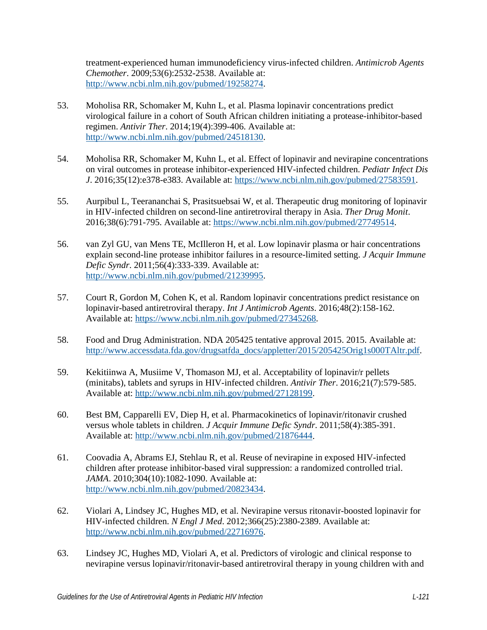treatment-experienced human immunodeficiency virus-infected children. *Antimicrob Agents Chemother*. 2009;53(6):2532-2538. Available at: [http://www.ncbi.nlm.nih.gov/pubmed/19258274.](http://www.ncbi.nlm.nih.gov/pubmed/19258274)

- <span id="page-13-0"></span>53. Moholisa RR, Schomaker M, Kuhn L, et al. Plasma lopinavir concentrations predict virological failure in a cohort of South African children initiating a protease-inhibitor-based regimen. *Antivir Ther*. 2014;19(4):399-406. Available at: [http://www.ncbi.nlm.nih.gov/pubmed/24518130.](http://www.ncbi.nlm.nih.gov/pubmed/24518130)
- 54. Moholisa RR, Schomaker M, Kuhn L, et al. Effect of lopinavir and nevirapine concentrations on viral outcomes in protease inhibitor-experienced HIV-infected children. *Pediatr Infect Dis J*. 2016;35(12):e378-e383. Available at: [https://www.ncbi.nlm.nih.gov/pubmed/27583591.](https://www.ncbi.nlm.nih.gov/pubmed/27583591)
- 55. Aurpibul L, Teerananchai S, Prasitsuebsai W, et al. Therapeutic drug monitoring of lopinavir in HIV-infected children on second-line antiretroviral therapy in Asia. *Ther Drug Monit*. 2016;38(6):791-795. Available at: [https://www.ncbi.nlm.nih.gov/pubmed/27749514.](https://www.ncbi.nlm.nih.gov/pubmed/27749514)
- <span id="page-13-1"></span>56. van Zyl GU, van Mens TE, McIlleron H, et al. Low lopinavir plasma or hair concentrations explain second-line protease inhibitor failures in a resource-limited setting. *J Acquir Immune Defic Syndr*. 2011;56(4):333-339. Available at: [http://www.ncbi.nlm.nih.gov/pubmed/21239995.](http://www.ncbi.nlm.nih.gov/pubmed/21239995)
- <span id="page-13-2"></span>57. Court R, Gordon M, Cohen K, et al. Random lopinavir concentrations predict resistance on lopinavir-based antiretroviral therapy. *Int J Antimicrob Agents*. 2016;48(2):158-162. Available at: [https://www.ncbi.nlm.nih.gov/pubmed/27345268.](https://www.ncbi.nlm.nih.gov/pubmed/27345268)
- <span id="page-13-3"></span>58. Food and Drug Administration. NDA 205425 tentative approval 2015. 2015. Available at: [http://www.accessdata.fda.gov/drugsatfda\\_docs/appletter/2015/205425Orig1s000TAltr.pdf.](http://www.accessdata.fda.gov/drugsatfda_docs/appletter/2015/205425Orig1s000TAltr.pdf)
- <span id="page-13-4"></span>59. Kekitiinwa A, Musiime V, Thomason MJ, et al. Acceptability of lopinavir/r pellets (minitabs), tablets and syrups in HIV-infected children. *Antivir Ther*. 2016;21(7):579-585. Available at: [http://www.ncbi.nlm.nih.gov/pubmed/27128199.](http://www.ncbi.nlm.nih.gov/pubmed/27128199)
- <span id="page-13-5"></span>60. Best BM, Capparelli EV, Diep H, et al. Pharmacokinetics of lopinavir/ritonavir crushed versus whole tablets in children. *J Acquir Immune Defic Syndr*. 2011;58(4):385-391. Available at: [http://www.ncbi.nlm.nih.gov/pubmed/21876444.](http://www.ncbi.nlm.nih.gov/pubmed/21876444)
- <span id="page-13-6"></span>61. Coovadia A, Abrams EJ, Stehlau R, et al. Reuse of nevirapine in exposed HIV-infected children after protease inhibitor-based viral suppression: a randomized controlled trial. *JAMA*. 2010;304(10):1082-1090. Available at: [http://www.ncbi.nlm.nih.gov/pubmed/20823434.](http://www.ncbi.nlm.nih.gov/pubmed/20823434)
- 62. Violari A, Lindsey JC, Hughes MD, et al. Nevirapine versus ritonavir-boosted lopinavir for HIV-infected children. *N Engl J Med*. 2012;366(25):2380-2389. Available at: [http://www.ncbi.nlm.nih.gov/pubmed/22716976.](http://www.ncbi.nlm.nih.gov/pubmed/22716976)
- 63. Lindsey JC, Hughes MD, Violari A, et al. Predictors of virologic and clinical response to nevirapine versus lopinavir/ritonavir-based antiretroviral therapy in young children with and